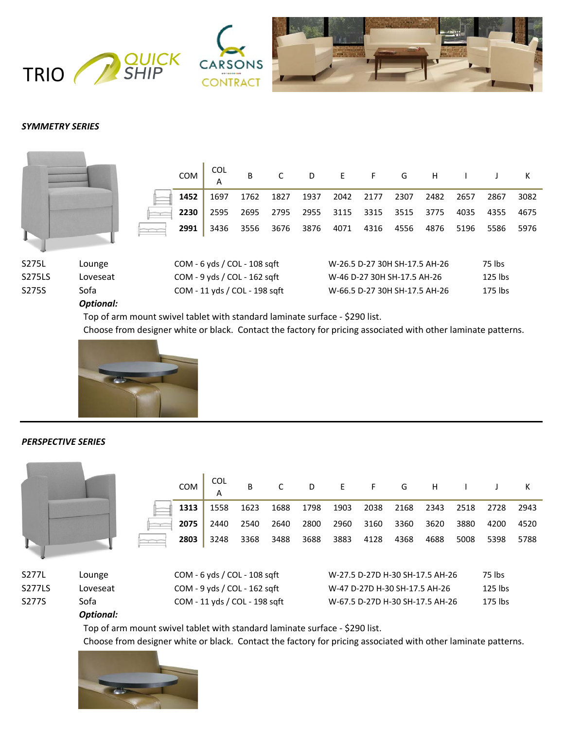

# *SYMMETRY SERIES*

|                 |                    | <b>COM</b><br>1452<br>2230 | <b>COL</b><br>A<br>1697<br>2595                              | B<br>1762<br>2695 | 1827<br>2795 | D<br>1937<br>2955 | E<br>2042<br>3115 | F.<br>2177<br>3315          | G<br>2307<br>3515 | H<br>2482<br>3775             | 2657<br>4035 | 2867<br>4355      | ĸ<br>3082<br>4675 |
|-----------------|--------------------|----------------------------|--------------------------------------------------------------|-------------------|--------------|-------------------|-------------------|-----------------------------|-------------------|-------------------------------|--------------|-------------------|-------------------|
|                 |                    | 2991                       | 3436                                                         | 3556              | 3676         | 3876              | 4071              | 4316                        | 4556              | 4876                          | 5196         | 5586              | 5976              |
| S275L<br>S275LS | Lounge<br>Loveseat |                            | $COM - 6 y ds / COL - 108 s$<br>COM - 9 yds / COL - 162 sqft |                   |              |                   |                   | W-46 D-27 30H SH-17.5 AH-26 |                   | W-26.5 D-27 30H SH-17.5 AH-26 |              | 75 lbs<br>125 lbs |                   |
| S275S           | Sofa               |                            | COM - 11 yds / COL - 198 sqft                                |                   |              |                   |                   |                             |                   | W-66.5 D-27 30H SH-17.5 AH-26 |              | 175 lbs           |                   |

#### *Optional:*

Top of arm mount swivel tablet with standard laminate surface - \$290 list.

Choose from designer white or black. Contact the factory for pricing associated with other laminate patterns.



# *PERSPECTIVE SERIES*

| COM  | <b>COL</b> | B    | $\mathsf{C}$ | D    |      | EFGHIJ |           |      |      |                | K    |
|------|------------|------|--------------|------|------|--------|-----------|------|------|----------------|------|
| 1313 | 1558       | 1623 | 1688         | 1798 | 1903 |        | 2038 2168 | 2343 |      | 2518 2728 2943 |      |
| 2075 | 2440       | 2540 | 2640         | 2800 | 2960 | 3160   | 3360      | 3620 | 3880 | 4200           | 4520 |
| 2803 | 3248       | 3368 | 3488         | 3688 | 3883 | 4128   | 4368      | 4688 | 5008 | 5398           | 5788 |

| S277L  | Lou |
|--------|-----|
| S277LS | Lov |
| S277S  | Sof |
|        | n., |

Inge COM - 6 yds / COL - 108 sqft  $y$ eseat COM - 9 yds / COL - 162 sqft  $\overline{a}$  COM - 11 yds / COL - 198 sqft

| W-27.5 D-27D H-30 SH-17.5 AH-26 | 75 lbs  |
|---------------------------------|---------|
| W-47 D-27D H-30 SH-17.5 AH-26   | 125 lbs |
| W-67.5 D-27D H-30 SH-17.5 AH-26 | 175 lbs |

#### *Optional:*

Top of arm mount swivel tablet with standard laminate surface - \$290 list.

Choose from designer white or black. Contact the factory for pricing associated with other laminate patterns.

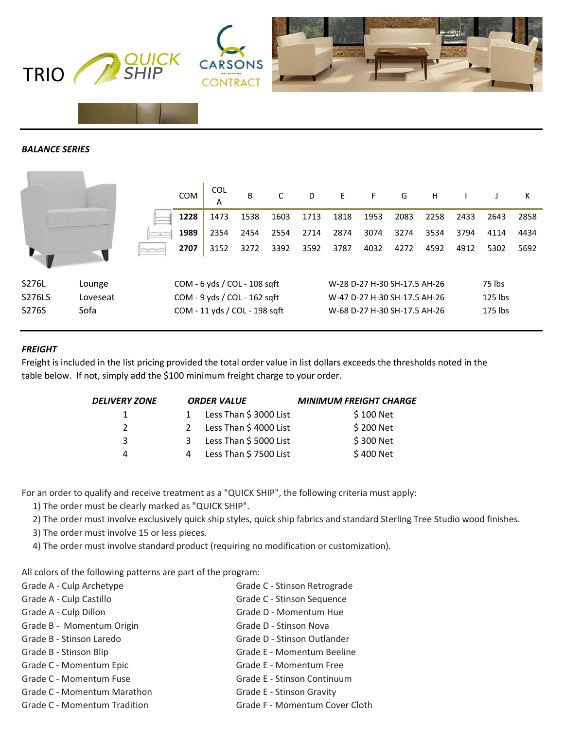

# *BALANCE SERIES*

|        |          | <b>COM</b> | <b>COL</b><br>A               | B    | C    | D    | E                            | F.   | G    | Н    |      |         | К    |
|--------|----------|------------|-------------------------------|------|------|------|------------------------------|------|------|------|------|---------|------|
|        |          | 1228       | 1473                          | 1538 | 1603 | 1713 | 1818                         | 1953 | 2083 | 2258 | 2433 | 2643    | 2858 |
|        |          | 1989       | 2354                          | 2454 | 2554 | 2714 | 2874                         | 3074 | 3274 | 3534 | 3794 | 4114    | 4434 |
|        |          | 2707       | 3152                          | 3272 | 3392 | 3592 | 3787                         | 4032 | 4272 | 4592 | 4912 | 5302    | 5692 |
| S276L  | Lounge   |            | $COM - 6 y ds / COL - 108 s$  |      |      |      | W-28 D-27 H-30 SH-17.5 AH-26 |      |      |      |      | 75 lbs  |      |
| S276LS | Loveseat |            | COM - 9 yds / COL - 162 sqft  |      |      |      | W-47 D-27 H-30 SH-17.5 AH-26 |      |      |      |      | 125 lbs |      |
| S276S  | Sofa     |            | COM - 11 yds / COL - 198 sqft |      |      |      | W-68 D-27 H-30 SH-17.5 AH-26 |      |      |      |      | 175 lbs |      |

# *FREIGHT*

Freight is included in the list pricing provided the total order value in list dollars exceeds the thresholds noted in the table below. If not, simply add the \$100 minimum freight charge to your order.

| <b>DELIVERY ZONE</b> |   | <b>ORDER VALUE</b>     | <b>MINIMUM FREIGHT CHARGE</b> |
|----------------------|---|------------------------|-------------------------------|
|                      |   | Less Than \$ 3000 List | \$100 Net                     |
| $\mathcal{P}$        |   | Less Than \$4000 List  | \$200 Net                     |
| 3                    | 3 | Less Than \$5000 List  | \$300 Net                     |
| Δ                    |   | Less Than \$7500 List  | \$400 Net                     |

For an order to qualify and receive treatment as a "QUICK SHIP", the following criteria must apply:

1) The order must be clearly marked as "QUICK SHIP".

2) The order must involve exclusively quick ship styles, quick ship fabrics and standard Sterling Tree Studio wood finishes.

3) The order must involve 15 or less pieces.

4) The order must involve standard product (requiring no modification or customization).

All colors of the following patterns are part of the program:

| Grade A - Culp Archetype     | Grade C - Stinson Retrograde   |
|------------------------------|--------------------------------|
| Grade A - Culp Castillo      | Grade C - Stinson Sequence     |
| Grade A - Culp Dillon        | Grade D - Momentum Hue         |
| Grade B - Momentum Origin    | Grade D - Stinson Nova         |
| Grade B - Stinson Laredo     | Grade D - Stinson Outlander    |
| Grade B - Stinson Blip       | Grade E - Momentum Beeline     |
| Grade C - Momentum Epic      | Grade E - Momentum Free        |
| Grade C - Momentum Fuse      | Grade E - Stinson Continuum    |
| Grade C - Momentum Marathon  | Grade E - Stinson Gravity      |
| Grade C - Momentum Tradition | Grade F - Momentum Cover Cloth |